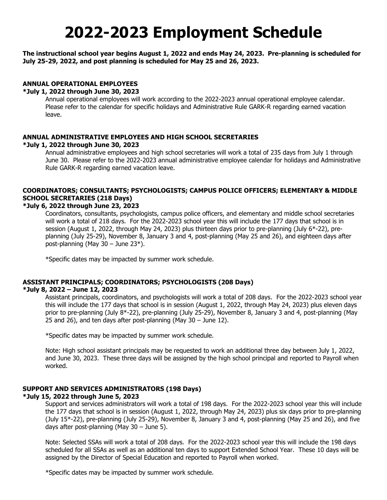# **2022-2023 Employment Schedule**

#### **The instructional school year begins August 1, 2022 and ends May 24, 2023. Pre-planning is scheduled for July 25-29, 2022, and post planning is scheduled for May 25 and 26, 2023.**

# **ANNUAL OPERATIONAL EMPLOYEES**

#### **\*July 1, 2022 through June 30, 2023**

Annual operational employees will work according to the 2022-2023 annual operational employee calendar. Please refer to the calendar for specific holidays and Administrative Rule GARK-R regarding earned vacation leave.

#### **ANNUAL ADMINISTRATIVE EMPLOYEES AND HIGH SCHOOL SECRETARIES \*July 1, 2022 through June 30, 2023**

Annual administrative employees and high school secretaries will work a total of 235 days from July 1 through June 30. Please refer to the 2022-2023 annual administrative employee calendar for holidays and Administrative Rule GARK-R regarding earned vacation leave.

# **COORDINATORS; CONSULTANTS; PSYCHOLOGISTS; CAMPUS POLICE OFFICERS; ELEMENTARY & MIDDLE SCHOOL SECRETARIES (218 Days)**

#### **\*July 6, 2022 through June 23, 2023**

Coordinators, consultants, psychologists, campus police officers, and elementary and middle school secretaries will work a total of 218 days. For the 2022-2023 school year this will include the 177 days that school is in session (August 1, 2022, through May 24, 2023) plus thirteen days prior to pre-planning (July 6\*-22), preplanning (July 25-29), November 8, January 3 and 4, post-planning (May 25 and 26), and eighteen days after post-planning (May 30 – June 23\*).

\*Specific dates may be impacted by summer work schedule.

#### **ASSISTANT PRINCIPALS; COORDINATORS; PSYCHOLOGISTS (208 Days)**

#### **\*July 8, 2022 – June 12, 2023**

Assistant principals, coordinators, and psychologists will work a total of 208 days. For the 2022-2023 school year this will include the 177 days that school is in session (August 1, 2022, through May 24, 2023) plus eleven days prior to pre-planning (July 8\*-22), pre-planning (July 25-29), November 8, January 3 and 4, post-planning (May 25 and 26), and ten days after post-planning (May 30 – June 12).

\*Specific dates may be impacted by summer work schedule.

Note: High school assistant principals may be requested to work an additional three day between July 1, 2022, and June 30, 2023. These three days will be assigned by the high school principal and reported to Payroll when worked.

#### **SUPPORT AND SERVICES ADMINISTRATORS (198 Days)**

#### **\*July 15, 2022 through June 5, 2023**

Support and services administrators will work a total of 198 days. For the 2022-2023 school year this will include the 177 days that school is in session (August 1, 2022, through May 24, 2023) plus six days prior to pre-planning (July 15\*-22), pre-planning (July 25-29), November 8, January 3 and 4, post-planning (May 25 and 26), and five days after post-planning (May 30 – June 5).

Note: Selected SSAs will work a total of 208 days. For the 2022-2023 school year this will include the 198 days scheduled for all SSAs as well as an additional ten days to support Extended School Year. These 10 days will be assigned by the Director of Special Education and reported to Payroll when worked.

\*Specific dates may be impacted by summer work schedule.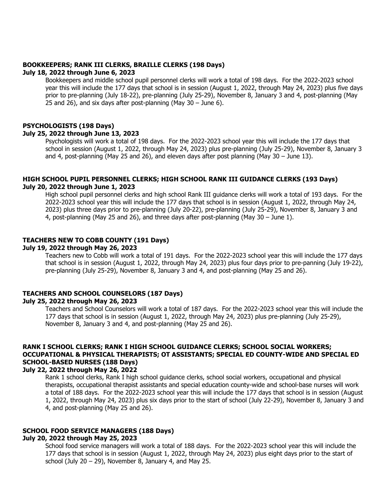# **BOOKKEEPERS; RANK III CLERKS, BRAILLE CLERKS (198 Days)**

#### **July 18, 2022 through June 6, 2023**

Bookkeepers and middle school pupil personnel clerks will work a total of 198 days. For the 2022-2023 school year this will include the 177 days that school is in session (August 1, 2022, through May 24, 2023) plus five days prior to pre-planning (July 18-22), pre-planning (July 25-29), November 8, January 3 and 4, post-planning (May 25 and 26), and six days after post-planning (May 30 – June 6).

# **PSYCHOLOGISTS (198 Days)**

#### **July 25, 2022 through June 13, 2023**

Psychologists will work a total of 198 days. For the 2022-2023 school year this will include the 177 days that school in session (August 1, 2022, through May 24, 2023) plus pre-planning (July 25-29), November 8, January 3 and 4, post-planning (May 25 and 26), and eleven days after post planning (May 30 – June 13).

#### **HIGH SCHOOL PUPIL PERSONNEL CLERKS; HIGH SCHOOL RANK III GUIDANCE CLERKS (193 Days) July 20, 2022 through June 1, 2023**

High school pupil personnel clerks and high school Rank III guidance clerks will work a total of 193 days. For the 2022-2023 school year this will include the 177 days that school is in session (August 1, 2022, through May 24, 2023) plus three days prior to pre-planning (July 20-22), pre-planning (July 25-29), November 8, January 3 and 4, post-planning (May 25 and 26), and three days after post-planning (May 30 – June 1).

#### **TEACHERS NEW TO COBB COUNTY (191 Days)**

#### **July 19, 2022 through May 26, 2023**

Teachers new to Cobb will work a total of 191 days. For the 2022-2023 school year this will include the 177 days that school is in session (August 1, 2022, through May 24, 2023) plus four days prior to pre-panning (July 19-22), pre-planning (July 25-29), November 8, January 3 and 4, and post-planning (May 25 and 26).

#### **TEACHERS AND SCHOOL COUNSELORS (187 Days) July 25, 2022 through May 26, 2023**

Teachers and School Counselors will work a total of 187 days. For the 2022-2023 school year this will include the 177 days that school is in session (August 1, 2022, through May 24, 2023) plus pre-planning (July 25-29), November 8, January 3 and 4, and post-planning (May 25 and 26).

# **RANK I SCHOOL CLERKS; RANK I HIGH SCHOOL GUIDANCE CLERKS; SCHOOL SOCIAL WORKERS; OCCUPATIONAL & PHYSICAL THERAPISTS; OT ASSISTANTS; SPECIAL ED COUNTY-WIDE AND SPECIAL ED SCHOOL-BASED NURSES (188 Days)**

#### **July 22, 2022 through May 26, 2022**

Rank 1 school clerks, Rank I high school guidance clerks, school social workers, occupational and physical therapists, occupational therapist assistants and special education county-wide and school-base nurses will work a total of 188 days. For the 2022-2023 school year this will include the 177 days that school is in session (August 1, 2022, through May 24, 2023) plus six days prior to the start of school (July 22-29), November 8, January 3 and 4, and post-planning (May 25 and 26).

# **SCHOOL FOOD SERVICE MANAGERS (188 Days)**

#### **July 20, 2022 through May 25, 2023**

School food service managers will work a total of 188 days. For the 2022-2023 school year this will include the 177 days that school is in session (August 1, 2022, through May 24, 2023) plus eight days prior to the start of school (July  $20 - 29$ ), November 8, January 4, and May 25.